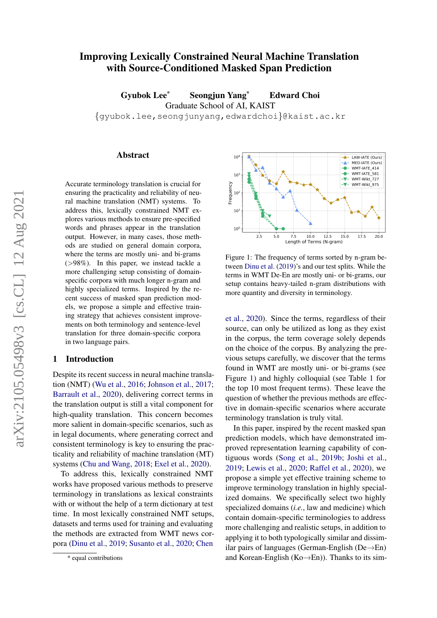# <span id="page-0-2"></span>Improving Lexically Constrained Neural Machine Translation with Source-Conditioned Masked Span Prediction

Gyubok Lee\* Seongjun Yang\* Edward Choi Graduate School of AI, KAIST {gyubok.lee,seongjunyang,edwardchoi}@kaist.ac.kr

#### Abstract

Accurate terminology translation is crucial for ensuring the practicality and reliability of neural machine translation (NMT) systems. To address this, lexically constrained NMT explores various methods to ensure pre-specified words and phrases appear in the translation output. However, in many cases, those methods are studied on general domain corpora, where the terms are mostly uni- and bi-grams  $($ >98%). In this paper, we instead tackle a more challenging setup consisting of domainspecific corpora with much longer n-gram and highly specialized terms. Inspired by the recent success of masked span prediction models, we propose a simple and effective training strategy that achieves consistent improvements on both terminology and sentence-level translation for three domain-specific corpora in two language pairs.

#### <span id="page-0-1"></span>1 Introduction

Despite its recent success in neural machine translation (NMT) [\(Wu et al.,](#page-7-0) [2016;](#page-7-0) [Johnson et al.,](#page-5-0) [2017;](#page-5-0) [Barrault et al.,](#page-4-0) [2020\)](#page-4-0), delivering correct terms in the translation output is still a vital component for high-quality translation. This concern becomes more salient in domain-specific scenarios, such as in legal documents, where generating correct and consistent terminology is key to ensuring the practicality and reliability of machine translation (MT) systems [\(Chu and Wang,](#page-5-1) [2018;](#page-5-1) [Exel et al.,](#page-5-2) [2020\)](#page-5-2).

To address this, lexically constrained NMT works have proposed various methods to preserve terminology in translations as lexical constraints with or without the help of a term dictionary at test time. In most lexically constrained NMT setups, datasets and terms used for training and evaluating the methods are extracted from WMT news corpora [\(Dinu et al.,](#page-5-3) [2019;](#page-5-3) [Susanto et al.,](#page-6-0) [2020;](#page-6-0) [Chen](#page-5-4)

<span id="page-0-0"></span> $10^{\circ}$ LAW-IATE (Ours) -★--≜-MED-IATE (Ours) ó WMT-IATE 414 WMT-IATE\_581 ė  $10<sup>3</sup>$ WMT-Wikt 727 ц÷. Frequency WMT-Wikt\_975 -84  $10$  $10^{\circ}$  $2.5$  $5.0$  $7.\overline{5}$   $10.0$   $12.5$   $1$ <br>Length of Terms (N-gram)  $15.0$  $17.5$  $20.0$ 

Figure 1: The frequency of terms sorted by n-gram between [Dinu et al.](#page-5-3) [\(2019\)](#page-5-3)'s and our test splits. While the terms in WMT De-En are mostly uni- or bi-grams, our setup contains heavy-tailed n-gram distributions with more quantity and diversity in terminology.

[et al.,](#page-5-4) [2020\)](#page-5-4). Since the terms, regardless of their source, can only be utilized as long as they exist in the corpus, the term coverage solely depends on the choice of the corpus. By analyzing the previous setups carefully, we discover that the terms found in WMT are mostly uni- or bi-grams (see Figure [1\)](#page-0-0) and highly colloquial (see Table [1](#page-1-0) for the top 10 most frequent terms). These leave the question of whether the previous methods are effective in domain-specific scenarios where accurate terminology translation is truly vital.

In this paper, inspired by the recent masked span prediction models, which have demonstrated improved representation learning capability of contiguous words [\(Song et al.,](#page-6-1) [2019b;](#page-6-1) [Joshi et al.,](#page-5-5) [2019;](#page-5-5) [Lewis et al.,](#page-6-2) [2020;](#page-6-2) [Raffel et al.,](#page-6-3) [2020\)](#page-6-3), we propose a simple yet effective training scheme to improve terminology translation in highly specialized domains. We specifically select two highly specialized domains (*i.e.*, law and medicine) which contain domain-specific terminologies to address more challenging and realistic setups, in addition to applying it to both typologically similar and dissimilar pairs of languages (German-English (De→En) and Korean-English (Ko $\rightarrow$ En)). Thanks to its sim-

[<sup>\\*</sup> equal contributions](#page-5-4)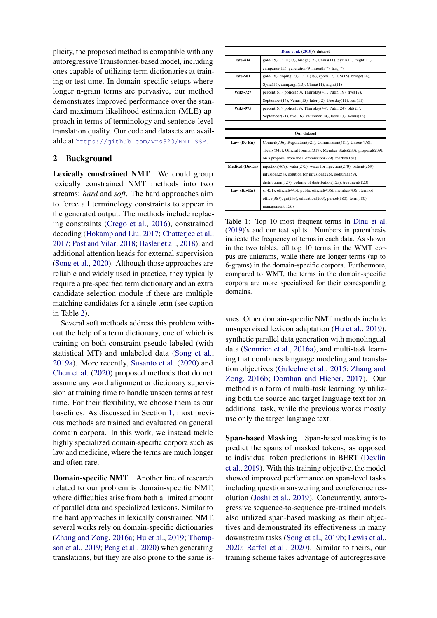plicity, the proposed method is compatible with any autoregressive Transformer-based model, including ones capable of utilizing term dictionaries at training or test time. In domain-specific setups where longer n-gram terms are pervasive, our method demonstrates improved performance over the standard maximum likelihood estimation (MLE) approach in terms of terminology and sentence-level translation quality. Our code and datasets are available at [https://github.com/wns823/NMT\\_SSP](https://github.com/wns823/NMT_SSP).

## 2 Background

Lexically constrained NMT We could group lexically constrained NMT methods into two streams: *hard* and *soft*. The hard approaches aim to force all terminology constraints to appear in the generated output. The methods include replacing constraints [\(Crego et al.,](#page-5-6) [2016\)](#page-5-6), constrained decoding [\(Hokamp and Liu,](#page-5-7) [2017;](#page-5-7) [Chatterjee et al.,](#page-5-8) [2017;](#page-5-8) [Post and Vilar,](#page-6-4) [2018;](#page-6-4) [Hasler et al.,](#page-5-9) [2018\)](#page-5-9), and additional attention heads for external supervision [\(Song et al.,](#page-6-5) [2020\)](#page-6-5). Although those approaches are reliable and widely used in practice, they typically require a pre-specified term dictionary and an extra candidate selection module if there are multiple matching candidates for a single term (see caption in Table [2\)](#page-2-0).

Several soft methods address this problem without the help of a term dictionary, one of which is training on both constraint pseudo-labeled (with statistical MT) and unlabeled data [\(Song et al.,](#page-6-6) [2019a\)](#page-6-6). More recently, [Susanto et al.](#page-6-0) [\(2020\)](#page-6-0) and [Chen et al.](#page-5-4) [\(2020\)](#page-5-4) proposed methods that do not assume any word alignment or dictionary supervision at training time to handle unseen terms at test time. For their flexibility, we choose them as our baselines. As discussed in Section [1,](#page-0-1) most previous methods are trained and evaluated on general domain corpora. In this work, we instead tackle highly specialized domain-specific corpora such as law and medicine, where the terms are much longer and often rare.

Domain-specific NMT Another line of research related to our problem is domain-specific NMT, where difficulties arise from both a limited amount of parallel data and specialized lexicons. Similar to the hard approaches in lexically constrained NMT, several works rely on domain-specific dictionaries [\(Zhang and Zong,](#page-7-1) [2016a;](#page-7-1) [Hu et al.,](#page-5-10) [2019;](#page-5-10) [Thomp](#page-6-7)[son et al.,](#page-6-7) [2019;](#page-6-7) [Peng et al.,](#page-6-8) [2020\)](#page-6-8) when generating translations, but they are also prone to the same is-

<span id="page-1-0"></span>

|                        | Dinu et al. (2019)'s dataset                                                      |  |  |  |  |  |  |
|------------------------|-----------------------------------------------------------------------------------|--|--|--|--|--|--|
| Tate-414               | gold(15), CDU(13), bridge(12), China(11), Syria(11), night(11),                   |  |  |  |  |  |  |
|                        | campaign(11), generation(9), month(7), Iraq(7)                                    |  |  |  |  |  |  |
| Iate-581               | gold(26), doping(23), CDU(19), sport(17), US(15), bridge(14),                     |  |  |  |  |  |  |
|                        | Syria(13), campaign(13), China(11), night(11)                                     |  |  |  |  |  |  |
| <b>Wikt-727</b>        | $percent(61)$ , police(50), Thursday(41), Putin(19), five(17),                    |  |  |  |  |  |  |
|                        | September(14), Venus(13), later(12), Tuesday(11), less(11)                        |  |  |  |  |  |  |
| <b>Wikt-975</b>        | $percent(61)$ , $police(59)$ , Thursday(44), Putin(24), $old(21)$ ,               |  |  |  |  |  |  |
|                        | September(21), five(16), swimmer(14), later(13), Venus(13)                        |  |  |  |  |  |  |
|                        |                                                                                   |  |  |  |  |  |  |
|                        |                                                                                   |  |  |  |  |  |  |
|                        | Our dataset                                                                       |  |  |  |  |  |  |
| Law (De-En)            | Council(706), Regulation(521), Commission(481), Union(478),                       |  |  |  |  |  |  |
|                        | Treaty(345), Official Journal(319), Member State(283), proposal(239),             |  |  |  |  |  |  |
|                        | on a proposal from the Commission(229), market(181)                               |  |  |  |  |  |  |
| <b>Medical (De-En)</b> | injection(469), water(275), water for injection(270), patient(269),               |  |  |  |  |  |  |
|                        | $infusion(258)$ , solution for $infusion(226)$ , sodium $(159)$ ,                 |  |  |  |  |  |  |
|                        | $distribution(127)$ , volume of distribution(125), treatment(120)                 |  |  |  |  |  |  |
| Law (Ko-En)            | $si(451)$ , official $(445)$ , public official $(436)$ , member $(436)$ , term of |  |  |  |  |  |  |
|                        | office(367), gu(265), education(209), period(180), term(180),                     |  |  |  |  |  |  |

Table 1: Top 10 most frequent terms in [Dinu et al.](#page-5-3) [\(2019\)](#page-5-3)'s and our test splits. Numbers in parenthesis indicate the frequency of terms in each data. As shown in the two tables, all top 10 terms in the WMT corpus are unigrams, while there are longer terms (up to 6-grams) in the domain-specific corpora. Furthermore, compared to WMT, the terms in the domain-specific corpora are more specialized for their corresponding domains.

sues. Other domain-specific NMT methods include unsupervised lexicon adaptation [\(Hu et al.,](#page-5-10) [2019\)](#page-5-10), synthetic parallel data generation with monolingual data [\(Sennrich et al.,](#page-6-9) [2016a\)](#page-6-9), and multi-task learning that combines language modeling and translation objectives [\(Gulcehre et al.,](#page-5-11) [2015;](#page-5-11) [Zhang and](#page-7-2) [Zong,](#page-7-2) [2016b;](#page-7-2) [Domhan and Hieber,](#page-5-12) [2017\)](#page-5-12). Our method is a form of multi-task learning by utilizing both the source and target language text for an additional task, while the previous works mostly use only the target language text.

Span-based Masking Span-based masking is to predict the spans of masked tokens, as opposed to individual token predictions in BERT [\(Devlin](#page-5-13) [et al.,](#page-5-13) [2019\)](#page-5-13). With this training objective, the model showed improved performance on span-level tasks including question answering and coreference resolution [\(Joshi et al.,](#page-5-5) [2019\)](#page-5-5). Concurrently, autoregressive sequence-to-sequence pre-trained models also utilized span-based masking as their objectives and demonstrated its effectiveness in many downstream tasks [\(Song et al.,](#page-6-1) [2019b;](#page-6-1) [Lewis et al.,](#page-6-2) [2020;](#page-6-2) [Raffel et al.,](#page-6-3) [2020\)](#page-6-3). Similar to theirs, our training scheme takes advantage of autoregressive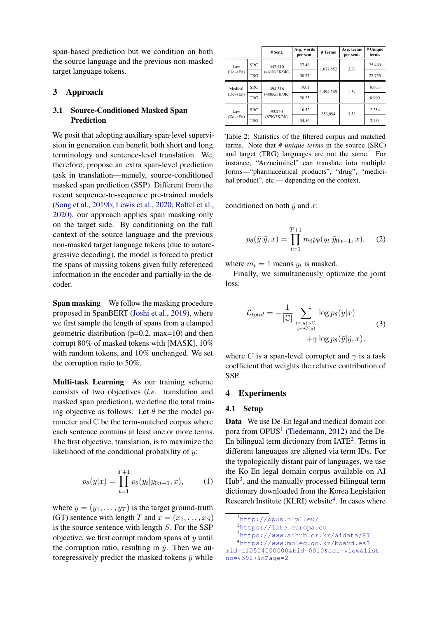span-based prediction but we condition on both the source language and the previous non-masked target language tokens.

## 3 Approach

## 3.1 Source-Conditioned Masked Span Prediction

We posit that adopting auxiliary span-level supervision in generation can benefit both short and long terminology and sentence-level translation. We, therefore, propose an extra span-level prediction task in translation—namely, source-conditioned masked span prediction (SSP). Different from the recent sequence-to-sequence pre-trained models [\(Song et al.,](#page-6-1) [2019b;](#page-6-1) [Lewis et al.,](#page-6-2) [2020;](#page-6-2) [Raffel et al.,](#page-6-3) [2020\)](#page-6-3), our approach applies span masking only on the target side. By conditioning on the full context of the source language and the previous non-masked target language tokens (due to autoregressive decoding), the model is forced to predict the spans of missing tokens given fully referenced information in the encoder and partially in the decoder.

Span masking We follow the masking procedure proposed in SpanBERT [\(Joshi et al.,](#page-5-5) [2019\)](#page-5-5), where we first sample the length of spans from a clamped geometric distribution  $(p=0.2, \text{max}=10)$  and then corrupt 80% of masked tokens with [MASK], 10% with random tokens, and 10% unchanged. We set the corruption ratio to 50%.

Multi-task Learning As our training scheme consists of two objectives (*i.e.* translation and masked span prediction), we define the total training objective as follows. Let  $\theta$  be the model parameter and C be the term-matched corpus where each sentence contains at least one or more terms. The first objective, translation, is to maximize the likelihood of the conditional probability of  $y$ :

$$
p_{\theta}(y|x) = \prod_{t=1}^{T+1} p_{\theta}(y_t|y_{0:t-1}, x), \quad (1)
$$

where  $y = (y_1, \dots, y_T)$  is the target ground-truth (GT) sentence with length T and  $x = (x_1, \ldots, x_S)$ is the source sentence with length  $S$ . For the SSP objective, we first corrupt random spans of  $y$  until the corruption ratio, resulting in  $\tilde{y}$ . Then we autoregressively predict the masked tokens  $\bar{y}$  while

<span id="page-2-0"></span>

|                       |            | # Sent.      | Avg. words<br>per sent. | # Terms   | Avg. terms<br>per sent. | # Unique<br>terms |
|-----------------------|------------|--------------|-------------------------|-----------|-------------------------|-------------------|
| Law                   | <b>SRC</b> | 447,410      | 27.46                   | 1,677,852 | 2.33                    | 25,460            |
| $(De \rightarrow En)$ | <b>TRG</b> | (441K/3K/3K) | 30.77                   |           |                         | 27,755            |
| Medical               | <b>SRC</b> | 494.316      | 19.01                   | 1,494,269 | 1.34                    | 8.633             |
| $(De \rightarrow En)$ | <b>TRG</b> | (488K/3K/3K) | 20.25                   |           |                         | 8.990             |
| Law                   | <b>SRC</b> | 93.240       | 16.52                   | 353.894   | 3.52                    | 2.354             |
| $(Ko \rightarrow En)$ | <b>TRG</b> | (87K/3K/3K)  | 34.56                   |           |                         | 2.733             |

Table 2: Statistics of the filtered corpus and matched terms. Note that *# unique terms* in the source (SRC) and target (TRG) languages are not the same. For instance, "Arzneimittel" can translate into multiple forms—"pharmaceutical products", "drug", "medicinal product", etc.— depending on the context.

conditioned on both  $\tilde{v}$  and x:

$$
p_{\theta}(\bar{y}|\tilde{y},x) = \prod_{t=1}^{T+1} m_t p_{\theta}(y_t|\tilde{y}_{0:t-1},x), \quad (2)
$$

where  $m_t = 1$  means  $y_t$  is masked.

<span id="page-2-1"></span>Finally, we simultaneously optimize the joint loss:

$$
\mathcal{L}_{total} = -\frac{1}{|\mathbb{C}|} \sum_{\substack{(x,y) \sim \mathbb{C},\\ \tilde{y} \sim C(y)}} \log p_{\theta}(y|x) + \gamma \log p_{\theta}(\bar{y}|\tilde{y}, x), \tag{3}
$$

where C is a span-level corrupter and  $\gamma$  is a task coefficient that weights the relative contribution of SSP.

#### 4 Experiments

#### 4.1 Setup

Data We use De-En legal and medical domain corpora from  $OPUS<sup>1</sup>$  $OPUS<sup>1</sup>$  $OPUS<sup>1</sup>$  [\(Tiedemann,](#page-7-3) [2012\)](#page-7-3) and the De-En bilingual term dictionary from  $IATE<sup>2</sup>$  $IATE<sup>2</sup>$  $IATE<sup>2</sup>$ . Terms in different languages are aligned via term IDs. For the typologically distant pair of languages, we use the Ko-En legal domain corpus available on AI  $Hub<sup>3</sup>$  $Hub<sup>3</sup>$  $Hub<sup>3</sup>$ , and the manually processed bilingual term dictionary downloaded from the Korea Legislation Research Institute (KLRI) website<sup>[4](#page-0-2)</sup>. In cases where

<sup>1</sup><http://opus.nlpl.eu/>

<sup>2</sup><https://iate.europa.eu>

<sup>3</sup><https://www.aihub.or.kr/aidata/87>

<sup>4</sup>[https://www.moleg.go.kr/board.es?](https://www.moleg.go.kr/board.es?mid=a10504000000&bid=0010&act=view&list_no=43927&nPage=2)

[mid=a10504000000&bid=0010&act=view&list\\_](https://www.moleg.go.kr/board.es?mid=a10504000000&bid=0010&act=view&list_no=43927&nPage=2) [no=43927&nPage=2](https://www.moleg.go.kr/board.es?mid=a10504000000&bid=0010&act=view&list_no=43927&nPage=2)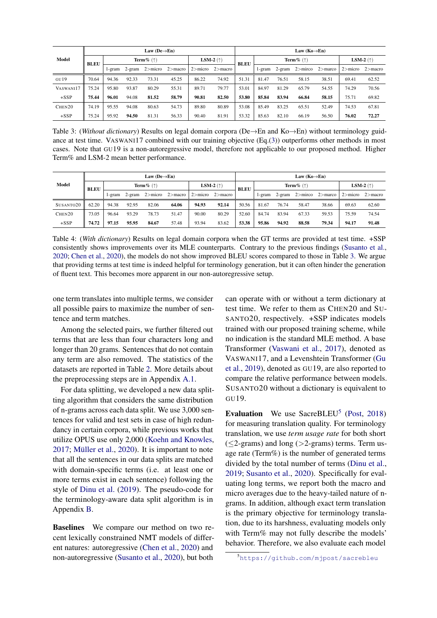<span id="page-3-0"></span>

|           | Law (De $\rightarrow$ En) |                          |        |             |             |                    |                       | Law $(Ko \rightarrow En)$ |        |       |                      |                    |             |            |
|-----------|---------------------------|--------------------------|--------|-------------|-------------|--------------------|-----------------------|---------------------------|--------|-------|----------------------|--------------------|-------------|------------|
| Model     | <b>BLEU</b>               | Term $\%$ ( $\uparrow$ ) |        |             |             | LSM-2 $(\uparrow)$ |                       | Term $\%$ ( $\uparrow$ )  |        |       |                      | LSM-2 $(\uparrow)$ |             |            |
|           |                           | l-gram                   | 2-gram | $2 >$ micro | $2$ > macro |                    | $2>$ micro $2>$ macro | <b>BLEU</b>               | 1-gram |       | $2$ -gram $2>$ mirco | $2>$ marco         | $2 >$ micro | $2>$ macro |
| GU19      | 70.64                     | 94.36                    | 92.33  | 73.31       | 45.25       | 86.22              | 74.92                 | 51.31                     | 81.47  | 76.51 | 58.15                | 38.51              | 69.41       | 62.52      |
| VASWANI17 | 75.24                     | 95.80                    | 93.87  | 80.29       | 55.31       | 89.71              | 79.77                 | 53.01                     | 84.97  | 81.29 | 65.79                | 54.55              | 74.29       | 70.56      |
| $+SSP$    | 75.44                     | 96.01                    | 94.08  | 81.52       | 58.79       | 90.81              | 82.50                 | 53.80                     | 85.84  | 83.94 | 66.84                | 58.15              | 75.71       | 69.82      |
| CHEN20    | 74.19                     | 95.55                    | 94.08  | 80.63       | 54.73       | 89.80              | 80.89                 | 53.08                     | 85.49  | 83.25 | 65.51                | 52.49              | 74.53       | 67.81      |
| $+SSP$    | 75.24                     | 95.92                    | 94.50  | 81.31       | 56.33       | 90.40              | 81.91                 | 53.32                     | 85.63  | 82.10 | 66.19                | 56.50              | 76.02       | 72.27      |

Table 3: (*Without dictionary*) Results on legal domain corpora (De→En and Ko→En) without terminology guidance at test time. VASWANI17 combined with our training objective (Eq.[\(3\)](#page-2-1)) outperforms other methods in most cases. Note that GU19 is a non-autoregressive model, therefore not applicable to our proposed method. Higher Term% and LSM-2 mean better performance.

<span id="page-3-1"></span>

|           | Law (De $\rightarrow$ En) |                          |           |       |                         |       | Law $(Ko \rightarrow En)$ |                          |        |       |                                                   |                    |             |            |
|-----------|---------------------------|--------------------------|-----------|-------|-------------------------|-------|---------------------------|--------------------------|--------|-------|---------------------------------------------------|--------------------|-------------|------------|
| Model     | <b>BLEU</b>               | Term $\%$ ( $\uparrow$ ) |           |       | LSM-2 $(\uparrow)$      |       | <b>BLEU</b>               | Term $\%$ ( $\uparrow$ ) |        |       |                                                   | LSM-2 $(\uparrow)$ |             |            |
|           |                           | l-gram                   | $2$ -gram |       | $2 >$ micro $2 >$ macro |       | $2>$ micro $2>$ macro     |                          | l-gram |       | $2\text{-gram}$ $2\text{-micro}$ $2\text{-macro}$ |                    | $2 >$ micro | $2$ >macro |
| SUSANTO20 | 62.20                     | 94.38                    | 92.95     | 82.06 | 64.06                   | 94.93 | 92.14                     | 50.56                    | 81.67  | 76.74 | 58.47                                             | 38.66              | 69.63       | 62.60      |
| CHEN20    | 73.05                     | 96.64                    | 93.29     | 78.73 | 51.47                   | 90.00 | 80.29                     | 52.60                    | 84.74  | 83.94 | 67.33                                             | 59.53              | 75.59       | 74.54      |
| $+SSP$    | 74.72                     | 97.15                    | 95.95     | 84.67 | 57.48                   | 93.94 | 83.62                     | 53.38                    | 95.86  | 94.92 | 88.58                                             | 79.34              | 94.17       | 91.48      |

Table 4: (*With dictionary*) Results on legal domain corpora when the GT terms are provided at test time. +SSP consistently shows improvements over its MLE counterparts. Contrary to the previous findings [\(Susanto et al.,](#page-6-0) [2020;](#page-6-0) [Chen et al.,](#page-5-4) [2020\)](#page-5-4), the models do not show improved BLEU scores compared to those in Table [3.](#page-3-0) We argue that providing terms at test time is indeed helpful for terminology generation, but it can often hinder the generation of fluent text. This becomes more apparent in our non-autoregressive setup.

one term translates into multiple terms, we consider all possible pairs to maximize the number of sentence and term matches.

Among the selected pairs, we further filtered out terms that are less than four characters long and longer than 20 grams. Sentences that do not contain any term are also removed. The statistics of the datasets are reported in Table [2.](#page-2-0) More details about the preprocessing steps are in Appendix [A.1.](#page-8-0)

For data splitting, we developed a new data splitting algorithm that considers the same distribution of n-grams across each data split. We use 3,000 sentences for valid and test sets in case of high redundancy in certain corpora, while previous works that utilize OPUS use only 2,000 [\(Koehn and Knowles,](#page-6-10)  $2017$ ; Müller et al.,  $2020$ ). It is important to note that all the sentences in our data splits are matched with domain-specific terms (i.e. at least one or more terms exist in each sentence) following the style of [Dinu et al.](#page-5-3) [\(2019\)](#page-5-3). The pseudo-code for the terminology-aware data split algorithm is in Appendix [B.](#page-8-1)

Baselines We compare our method on two recent lexically constrained NMT models of different natures: autoregressive [\(Chen et al.,](#page-5-4) [2020\)](#page-5-4) and non-autoregressive [\(Susanto et al.,](#page-6-0) [2020\)](#page-6-0), but both

can operate with or without a term dictionary at test time. We refer to them as CHEN20 and SU-SANTO20, respectively. +SSP indicates models trained with our proposed training scheme, while no indication is the standard MLE method. A base Transformer [\(Vaswani et al.,](#page-7-4) [2017\)](#page-7-4), denoted as VASWANI17, and a Levenshtein Transformer [\(Gu](#page-5-14) [et al.,](#page-5-14) [2019\)](#page-5-14), denoted as GU19, are also reported to compare the relative performance between models. SUSANTO20 without a dictionary is equivalent to GU19.

Evaluation We use SacreBLEU<sup>[5](#page-0-2)</sup> [\(Post,](#page-6-12) [2018\)](#page-6-12) for measuring translation quality. For terminology translation, we use *term usage rate* for both short  $(\leq$ 2-grams) and long (>2-grams) terms. Term usage rate (Term%) is the number of generated terms divided by the total number of terms [\(Dinu et al.,](#page-5-3) [2019;](#page-5-3) [Susanto et al.,](#page-6-0) [2020\)](#page-6-0). Specifically for evaluating long terms, we report both the macro and micro averages due to the heavy-tailed nature of ngrams. In addition, although exact term translation is the primary objective for terminology translation, due to its harshness, evaluating models only with Term% may not fully describe the models' behavior. Therefore, we also evaluate each model

<sup>5</sup><https://github.com/mjpost/sacrebleu>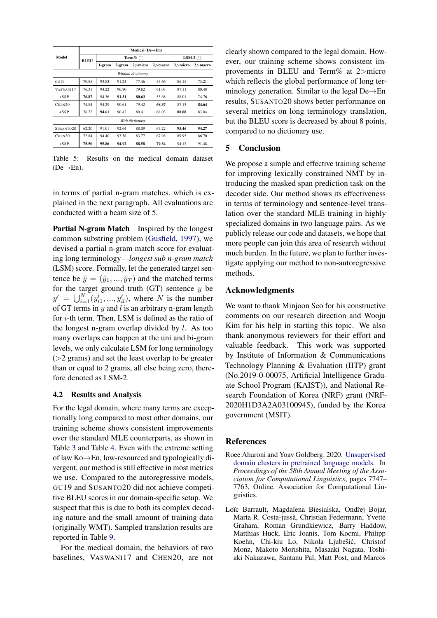|                    | Medical ( $De \rightarrow En$ ) |        |                      |                 |             |            |            |  |  |
|--------------------|---------------------------------|--------|----------------------|-----------------|-------------|------------|------------|--|--|
| Model              | BLEU                            |        | Term $\%$ (†)        | LSM-2 $(†)$     |             |            |            |  |  |
|                    |                                 | 1-gram | $2$ >micro<br>2-gram |                 | $2$ > macro | $2$ >micro | $2$ >macro |  |  |
|                    | Without dictionary              |        |                      |                 |             |            |            |  |  |
| GU19               | 70.85                           | 93.83  | 91.24                | 77.46           | 53.66       | 86.15      | 75.21      |  |  |
| VASWANI17          | 76.31                           | 94.22  | 90.80                | 79.82           | 61.03       | 87.11      | 80.48      |  |  |
| $+SSP$             | 76.87                           | 94.36  | 91.31                | 80.63           | 53.68       | 88.01      | 74.76      |  |  |
| CHEN20             | 74.84                           | 94.29  | 90.61                | 79.42           | 68.37       | 87.13      | 84.64      |  |  |
| $+SSP$             | 76.72                           | 94.61  | 90.42                | 80.41           | 68.03       | 88.08      | 83.04      |  |  |
|                    |                                 |        |                      | With dictionary |             |            |            |  |  |
| SUSANTO20          | 62.20                           | 91.01  | 92.64                | 88.09           | 67.22       | 95.46      | 94.27      |  |  |
| CHEN <sub>20</sub> | 72.84                           | 94.40  | 93.58                | 83.77           | 67.98       | 89.95      | 86.70      |  |  |
| $+SSP$             | 75.50                           | 95.86  | 94.92                | 88.58           | 79.34       | 94.17      | 91.48      |  |  |

Table 5: Results on the medical domain dataset  $(De \rightarrow En)$ .

in terms of partial n-gram matches, which is explained in the next paragraph. All evaluations are conducted with a beam size of 5.

Partial N-gram Match Inspired by the longest common substring problem [\(Gusfield,](#page-5-15) [1997\)](#page-5-15), we devised a partial n-gram match score for evaluating long terminology—*longest sub n-gram match* (LSM) score. Formally, let the generated target sentence be  $\hat{y} = (\hat{y}_1, ..., \hat{y}_T)$  and the matched terms for the target ground truth (GT) sentence  $y$  be  $y' = \bigcup_{i=1}^{N} (y'_{i1}, ..., y'_{il})$ , where N is the number of GT terms in  $y$  and l is an arbitrary n-gram length for i-th term. Then, LSM is defined as the ratio of the longest n-gram overlap divided by  $l$ . As too many overlaps can happen at the uni and bi-gram levels, we only calculate LSM for long terminology  $(>= 2$  grams) and set the least overlap to be greater than or equal to 2 grams, all else being zero, therefore denoted as LSM-2.

#### 4.2 Results and Analysis

For the legal domain, where many terms are exceptionally long compared to most other domains, our training scheme shows consistent improvements over the standard MLE counterparts, as shown in Table [3](#page-3-0) and Table [4.](#page-3-1) Even with the extreme setting of law Ko→En, low-resourced and typologically divergent, our method is still effective in most metrics we use. Compared to the autoregressive models, GU19 and SUSANTO20 did not achieve competitive BLEU scores in our domain-specific setup. We suspect that this is due to both its complex decoding nature and the small amount of training data (originally WMT). Sampled translation results are reported in Table [9.](#page-10-0)

For the medical domain, the behaviors of two baselines, VASWANI17 and CHEN20, are not clearly shown compared to the legal domain. However, our training scheme shows consistent improvements in BLEU and Term% at 2>micro which reflects the global performance of long terminology generation. Similar to the legal De→En results, SUSANTO20 shows better performance on several metrics on long terminology translation, but the BLEU score is decreased by about 8 points, compared to no dictionary use.

#### 5 Conclusion

We propose a simple and effective training scheme for improving lexically constrained NMT by introducing the masked span prediction task on the decoder side. Our method shows its effectiveness in terms of terminology and sentence-level translation over the standard MLE training in highly specialized domains in two language pairs. As we publicly release our code and datasets, we hope that more people can join this area of research without much burden. In the future, we plan to further investigate applying our method to non-autoregressive methods.

#### Acknowledgments

We want to thank Minjoon Seo for his constructive comments on our research direction and Wooju Kim for his help in starting this topic. We also thank anonymous reviewers for their effort and valuable feedback. This work was supported by Institute of Information & Communications Technology Planning & Evaluation (IITP) grant (No.2019-0-00075, Artificial Intelligence Graduate School Program (KAIST)), and National Research Foundation of Korea (NRF) grant (NRF-2020H1D3A2A03100945), funded by the Korea government (MSIT).

#### References

- <span id="page-4-1"></span>Roee Aharoni and Yoav Goldberg. 2020. [Unsupervised](https://doi.org/10.18653/v1/2020.acl-main.692) [domain clusters in pretrained language models.](https://doi.org/10.18653/v1/2020.acl-main.692) In *Proceedings of the 58th Annual Meeting of the Association for Computational Linguistics*, pages 7747– 7763, Online. Association for Computational Linguistics.
- <span id="page-4-0"></span>Loïc Barrault, Magdalena Biesialska, Ondřej Bojar, Marta R. Costa-jussa, Christian Federmann, Yvette ` Graham, Roman Grundkiewicz, Barry Haddow, Matthias Huck, Eric Joanis, Tom Kocmi, Philipp Koehn, Chi-kiu Lo, Nikola Ljubešić, Christof Monz, Makoto Morishita, Masaaki Nagata, Toshiaki Nakazawa, Santanu Pal, Matt Post, and Marcos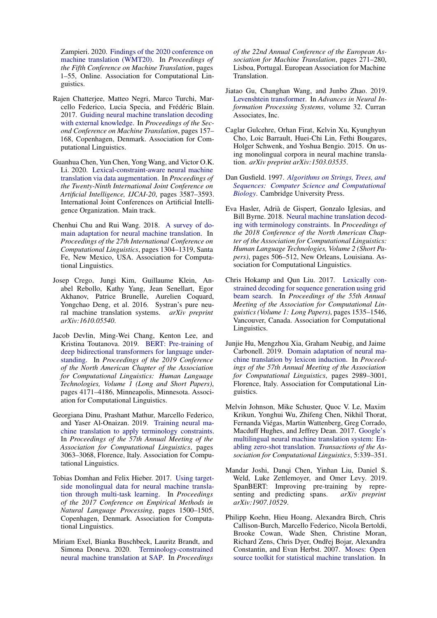Zampieri. 2020. [Findings of the 2020 conference on](https://www.aclweb.org/anthology/2020.wmt-1.1) [machine translation \(WMT20\).](https://www.aclweb.org/anthology/2020.wmt-1.1) In *Proceedings of the Fifth Conference on Machine Translation*, pages 1–55, Online. Association for Computational Linguistics.

- <span id="page-5-8"></span>Rajen Chatterjee, Matteo Negri, Marco Turchi, Marcello Federico, Lucia Specia, and Frédéric Blain. 2017. [Guiding neural machine translation decoding](https://doi.org/10.18653/v1/W17-4716) [with external knowledge.](https://doi.org/10.18653/v1/W17-4716) In *Proceedings of the Second Conference on Machine Translation*, pages 157– 168, Copenhagen, Denmark. Association for Computational Linguistics.
- <span id="page-5-4"></span>Guanhua Chen, Yun Chen, Yong Wang, and Victor O.K. Li. 2020. [Lexical-constraint-aware neural machine](https://doi.org/10.24963/ijcai.2020/496) [translation via data augmentation.](https://doi.org/10.24963/ijcai.2020/496) In *Proceedings of the Twenty-Ninth International Joint Conference on Artificial Intelligence, IJCAI-20*, pages 3587–3593. International Joint Conferences on Artificial Intelligence Organization. Main track.
- <span id="page-5-1"></span>Chenhui Chu and Rui Wang. 2018. [A survey of do](https://www.aclweb.org/anthology/C18-1111)[main adaptation for neural machine translation.](https://www.aclweb.org/anthology/C18-1111) In *Proceedings of the 27th International Conference on Computational Linguistics*, pages 1304–1319, Santa Fe, New Mexico, USA. Association for Computational Linguistics.
- <span id="page-5-6"></span>Josep Crego, Jungi Kim, Guillaume Klein, Anabel Rebollo, Kathy Yang, Jean Senellart, Egor Akhanov, Patrice Brunelle, Aurelien Coquard, Yongchao Deng, et al. 2016. Systran's pure neural machine translation systems. *arXiv preprint arXiv:1610.05540*.
- <span id="page-5-13"></span>Jacob Devlin, Ming-Wei Chang, Kenton Lee, and Kristina Toutanova. 2019. [BERT: Pre-training of](https://doi.org/10.18653/v1/N19-1423) [deep bidirectional transformers for language under](https://doi.org/10.18653/v1/N19-1423)[standing.](https://doi.org/10.18653/v1/N19-1423) In *Proceedings of the 2019 Conference of the North American Chapter of the Association for Computational Linguistics: Human Language Technologies, Volume 1 (Long and Short Papers)*, pages 4171–4186, Minneapolis, Minnesota. Association for Computational Linguistics.
- <span id="page-5-3"></span>Georgiana Dinu, Prashant Mathur, Marcello Federico, and Yaser Al-Onaizan. 2019. [Training neural ma](https://doi.org/10.18653/v1/P19-1294)[chine translation to apply terminology constraints.](https://doi.org/10.18653/v1/P19-1294) In *Proceedings of the 57th Annual Meeting of the Association for Computational Linguistics*, pages 3063–3068, Florence, Italy. Association for Computational Linguistics.
- <span id="page-5-12"></span>Tobias Domhan and Felix Hieber. 2017. [Using target](https://doi.org/10.18653/v1/D17-1158)[side monolingual data for neural machine transla](https://doi.org/10.18653/v1/D17-1158)[tion through multi-task learning.](https://doi.org/10.18653/v1/D17-1158) In *Proceedings of the 2017 Conference on Empirical Methods in Natural Language Processing*, pages 1500–1505, Copenhagen, Denmark. Association for Computational Linguistics.
- <span id="page-5-2"></span>Miriam Exel, Bianka Buschbeck, Lauritz Brandt, and Simona Doneva. 2020. [Terminology-constrained](https://www.aclweb.org/anthology/2020.eamt-1.29) [neural machine translation at SAP.](https://www.aclweb.org/anthology/2020.eamt-1.29) In *Proceedings*

*of the 22nd Annual Conference of the European Association for Machine Translation*, pages 271–280, Lisboa, Portugal. European Association for Machine Translation.

- <span id="page-5-14"></span>Jiatao Gu, Changhan Wang, and Junbo Zhao. 2019. [Levenshtein transformer.](https://proceedings.neurips.cc/paper/2019/file/675f9820626f5bc0afb47b57890b466e-Paper.pdf) In *Advances in Neural Information Processing Systems*, volume 32. Curran Associates, Inc.
- <span id="page-5-11"></span>Caglar Gulcehre, Orhan Firat, Kelvin Xu, Kyunghyun Cho, Loic Barrault, Huei-Chi Lin, Fethi Bougares, Holger Schwenk, and Yoshua Bengio. 2015. On using monolingual corpora in neural machine translation. *arXiv preprint arXiv:1503.03535*.
- <span id="page-5-15"></span>Dan Gusfield. 1997. *[Algorithms on Strings, Trees, and](https://doi.org/10.1017/CBO9780511574931) [Sequences: Computer Science and Computational](https://doi.org/10.1017/CBO9780511574931) [Biology](https://doi.org/10.1017/CBO9780511574931)*. Cambridge University Press.
- <span id="page-5-9"></span>Eva Hasler, Adria de Gispert, Gonzalo Iglesias, and ` Bill Byrne. 2018. [Neural machine translation decod](https://doi.org/10.18653/v1/N18-2081)[ing with terminology constraints.](https://doi.org/10.18653/v1/N18-2081) In *Proceedings of the 2018 Conference of the North American Chapter of the Association for Computational Linguistics: Human Language Technologies, Volume 2 (Short Papers)*, pages 506–512, New Orleans, Louisiana. Association for Computational Linguistics.
- <span id="page-5-7"></span>Chris Hokamp and Qun Liu. 2017. [Lexically con](https://doi.org/10.18653/v1/P17-1141)[strained decoding for sequence generation using grid](https://doi.org/10.18653/v1/P17-1141) [beam search.](https://doi.org/10.18653/v1/P17-1141) In *Proceedings of the 55th Annual Meeting of the Association for Computational Linguistics (Volume 1: Long Papers)*, pages 1535–1546, Vancouver, Canada. Association for Computational Linguistics.
- <span id="page-5-10"></span>Junjie Hu, Mengzhou Xia, Graham Neubig, and Jaime Carbonell. 2019. [Domain adaptation of neural ma](https://doi.org/10.18653/v1/P19-1286)[chine translation by lexicon induction.](https://doi.org/10.18653/v1/P19-1286) In *Proceedings of the 57th Annual Meeting of the Association for Computational Linguistics*, pages 2989–3001, Florence, Italy. Association for Computational Linguistics.
- <span id="page-5-0"></span>Melvin Johnson, Mike Schuster, Quoc V. Le, Maxim Krikun, Yonghui Wu, Zhifeng Chen, Nikhil Thorat, Fernanda Viegas, Martin Wattenberg, Greg Corrado, ´ Macduff Hughes, and Jeffrey Dean. 2017. [Google's](https://doi.org/10.1162/tacl_a_00065) [multilingual neural machine translation system: En](https://doi.org/10.1162/tacl_a_00065)[abling zero-shot translation.](https://doi.org/10.1162/tacl_a_00065) *Transactions of the Association for Computational Linguistics*, 5:339–351.
- <span id="page-5-5"></span>Mandar Joshi, Danqi Chen, Yinhan Liu, Daniel S. Weld, Luke Zettlemoyer, and Omer Levy. 2019. SpanBERT: Improving pre-training by representing and predicting spans. *arXiv preprint arXiv:1907.10529*.
- <span id="page-5-16"></span>Philipp Koehn, Hieu Hoang, Alexandra Birch, Chris Callison-Burch, Marcello Federico, Nicola Bertoldi, Brooke Cowan, Wade Shen, Christine Moran, Richard Zens, Chris Dyer, Ondřej Bojar, Alexandra Constantin, and Evan Herbst. 2007. [Moses: Open](https://www.aclweb.org/anthology/P07-2045) [source toolkit for statistical machine translation.](https://www.aclweb.org/anthology/P07-2045) In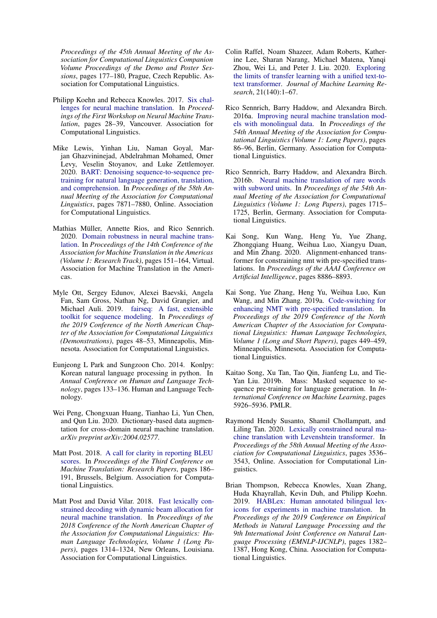*Proceedings of the 45th Annual Meeting of the Association for Computational Linguistics Companion Volume Proceedings of the Demo and Poster Sessions*, pages 177–180, Prague, Czech Republic. Association for Computational Linguistics.

- <span id="page-6-10"></span>Philipp Koehn and Rebecca Knowles. 2017. [Six chal](https://doi.org/10.18653/v1/W17-3204)[lenges for neural machine translation.](https://doi.org/10.18653/v1/W17-3204) In *Proceedings of the First Workshop on Neural Machine Translation*, pages 28–39, Vancouver. Association for Computational Linguistics.
- <span id="page-6-2"></span>Mike Lewis, Yinhan Liu, Naman Goyal, Marjan Ghazvininejad, Abdelrahman Mohamed, Omer Levy, Veselin Stoyanov, and Luke Zettlemoyer. 2020. [BART: Denoising sequence-to-sequence pre](https://doi.org/10.18653/v1/2020.acl-main.703)[training for natural language generation, translation,](https://doi.org/10.18653/v1/2020.acl-main.703) [and comprehension.](https://doi.org/10.18653/v1/2020.acl-main.703) In *Proceedings of the 58th Annual Meeting of the Association for Computational Linguistics*, pages 7871–7880, Online. Association for Computational Linguistics.
- <span id="page-6-11"></span>Mathias Müller, Annette Rios, and Rico Sennrich. 2020. [Domain robustness in neural machine trans](https://www.aclweb.org/anthology/2020.amta-research.14)[lation.](https://www.aclweb.org/anthology/2020.amta-research.14) In *Proceedings of the 14th Conference of the Association for Machine Translation in the Americas (Volume 1: Research Track)*, pages 151–164, Virtual. Association for Machine Translation in the Americas.
- <span id="page-6-15"></span>Myle Ott, Sergey Edunov, Alexei Baevski, Angela Fan, Sam Gross, Nathan Ng, David Grangier, and Michael Auli. 2019. [fairseq: A fast, extensible](https://doi.org/10.18653/v1/N19-4009) [toolkit for sequence modeling.](https://doi.org/10.18653/v1/N19-4009) In *Proceedings of the 2019 Conference of the North American Chapter of the Association for Computational Linguistics (Demonstrations)*, pages 48–53, Minneapolis, Minnesota. Association for Computational Linguistics.
- <span id="page-6-14"></span>Eunjeong L Park and Sungzoon Cho. 2014. Konlpy: Korean natural language processing in python. In *Annual Conference on Human and Language Technology*, pages 133–136. Human and Language Technology.
- <span id="page-6-8"></span>Wei Peng, Chongxuan Huang, Tianhao Li, Yun Chen, and Qun Liu. 2020. Dictionary-based data augmentation for cross-domain neural machine translation. *arXiv preprint arXiv:2004.02577*.
- <span id="page-6-12"></span>Matt Post. 2018. [A call for clarity in reporting BLEU](https://doi.org/10.18653/v1/W18-6319) [scores.](https://doi.org/10.18653/v1/W18-6319) In *Proceedings of the Third Conference on Machine Translation: Research Papers*, pages 186– 191, Brussels, Belgium. Association for Computational Linguistics.
- <span id="page-6-4"></span>Matt Post and David Vilar. 2018. [Fast lexically con](https://doi.org/10.18653/v1/N18-1119)[strained decoding with dynamic beam allocation for](https://doi.org/10.18653/v1/N18-1119) [neural machine translation.](https://doi.org/10.18653/v1/N18-1119) In *Proceedings of the 2018 Conference of the North American Chapter of the Association for Computational Linguistics: Human Language Technologies, Volume 1 (Long Papers)*, pages 1314–1324, New Orleans, Louisiana. Association for Computational Linguistics.
- <span id="page-6-3"></span>Colin Raffel, Noam Shazeer, Adam Roberts, Katherine Lee, Sharan Narang, Michael Matena, Yanqi Zhou, Wei Li, and Peter J. Liu. 2020. [Exploring](http://jmlr.org/papers/v21/20-074.html) [the limits of transfer learning with a unified text-to](http://jmlr.org/papers/v21/20-074.html)[text transformer.](http://jmlr.org/papers/v21/20-074.html) *Journal of Machine Learning Research*, 21(140):1–67.
- <span id="page-6-9"></span>Rico Sennrich, Barry Haddow, and Alexandra Birch. 2016a. [Improving neural machine translation mod](https://doi.org/10.18653/v1/P16-1009)[els with monolingual data.](https://doi.org/10.18653/v1/P16-1009) In *Proceedings of the 54th Annual Meeting of the Association for Computational Linguistics (Volume 1: Long Papers)*, pages 86–96, Berlin, Germany. Association for Computational Linguistics.
- <span id="page-6-13"></span>Rico Sennrich, Barry Haddow, and Alexandra Birch. 2016b. [Neural machine translation of rare words](https://doi.org/10.18653/v1/P16-1162) [with subword units.](https://doi.org/10.18653/v1/P16-1162) In *Proceedings of the 54th Annual Meeting of the Association for Computational Linguistics (Volume 1: Long Papers)*, pages 1715– 1725, Berlin, Germany. Association for Computational Linguistics.
- <span id="page-6-5"></span>Kai Song, Kun Wang, Heng Yu, Yue Zhang, Zhongqiang Huang, Weihua Luo, Xiangyu Duan, and Min Zhang. 2020. Alignment-enhanced transformer for constraining nmt with pre-specified translations. In *Proceedings of the AAAI Conference on Artificial Intelligence*, pages 8886–8893.
- <span id="page-6-6"></span>Kai Song, Yue Zhang, Heng Yu, Weihua Luo, Kun Wang, and Min Zhang. 2019a. [Code-switching for](https://doi.org/10.18653/v1/N19-1044) [enhancing NMT with pre-specified translation.](https://doi.org/10.18653/v1/N19-1044) In *Proceedings of the 2019 Conference of the North American Chapter of the Association for Computational Linguistics: Human Language Technologies, Volume 1 (Long and Short Papers)*, pages 449–459, Minneapolis, Minnesota. Association for Computational Linguistics.
- <span id="page-6-1"></span>Kaitao Song, Xu Tan, Tao Qin, Jianfeng Lu, and Tie-Yan Liu. 2019b. Mass: Masked sequence to sequence pre-training for language generation. In *International Conference on Machine Learning*, pages 5926–5936. PMLR.
- <span id="page-6-0"></span>Raymond Hendy Susanto, Shamil Chollampatt, and Liling Tan. 2020. [Lexically constrained neural ma](https://doi.org/10.18653/v1/2020.acl-main.325)[chine translation with Levenshtein transformer.](https://doi.org/10.18653/v1/2020.acl-main.325) In *Proceedings of the 58th Annual Meeting of the Association for Computational Linguistics*, pages 3536– 3543, Online. Association for Computational Linguistics.
- <span id="page-6-7"></span>Brian Thompson, Rebecca Knowles, Xuan Zhang, Huda Khayrallah, Kevin Duh, and Philipp Koehn. 2019. [HABLex: Human annotated bilingual lex](https://doi.org/10.18653/v1/D19-1142)[icons for experiments in machine translation.](https://doi.org/10.18653/v1/D19-1142) In *Proceedings of the 2019 Conference on Empirical Methods in Natural Language Processing and the 9th International Joint Conference on Natural Language Processing (EMNLP-IJCNLP)*, pages 1382– 1387, Hong Kong, China. Association for Computational Linguistics.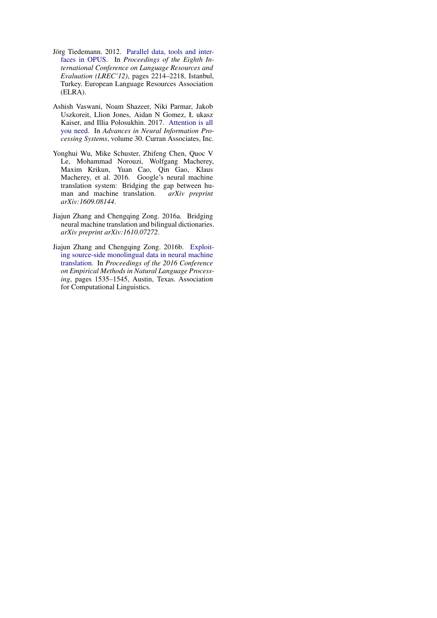- <span id="page-7-3"></span>Jörg Tiedemann. 2012. [Parallel data, tools and inter](http://www.lrec-conf.org/proceedings/lrec2012/pdf/463_Paper.pdf)[faces in OPUS.](http://www.lrec-conf.org/proceedings/lrec2012/pdf/463_Paper.pdf) In *Proceedings of the Eighth International Conference on Language Resources and Evaluation (LREC'12)*, pages 2214–2218, Istanbul, Turkey. European Language Resources Association (ELRA).
- <span id="page-7-4"></span>Ashish Vaswani, Noam Shazeer, Niki Parmar, Jakob Uszkoreit, Llion Jones, Aidan N Gomez, Ł ukasz Kaiser, and Illia Polosukhin. 2017. [Attention is all](https://proceedings.neurips.cc/paper/2017/file/3f5ee243547dee91fbd053c1c4a845aa-Paper.pdf) [you need.](https://proceedings.neurips.cc/paper/2017/file/3f5ee243547dee91fbd053c1c4a845aa-Paper.pdf) In *Advances in Neural Information Processing Systems*, volume 30. Curran Associates, Inc.
- <span id="page-7-0"></span>Yonghui Wu, Mike Schuster, Zhifeng Chen, Quoc V Le, Mohammad Norouzi, Wolfgang Macherey, Maxim Krikun, Yuan Cao, Qin Gao, Klaus Macherey, et al. 2016. Google's neural machine translation system: Bridging the gap between human and machine translation. *arXiv preprint arXiv:1609.08144*.
- <span id="page-7-1"></span>Jiajun Zhang and Chengqing Zong. 2016a. Bridging neural machine translation and bilingual dictionaries. *arXiv preprint arXiv:1610.07272*.
- <span id="page-7-2"></span>Jiajun Zhang and Chengqing Zong. 2016b. [Exploit](https://doi.org/10.18653/v1/D16-1160)[ing source-side monolingual data in neural machine](https://doi.org/10.18653/v1/D16-1160) [translation.](https://doi.org/10.18653/v1/D16-1160) In *Proceedings of the 2016 Conference on Empirical Methods in Natural Language Processing*, pages 1535–1545, Austin, Texas. Association for Computational Linguistics.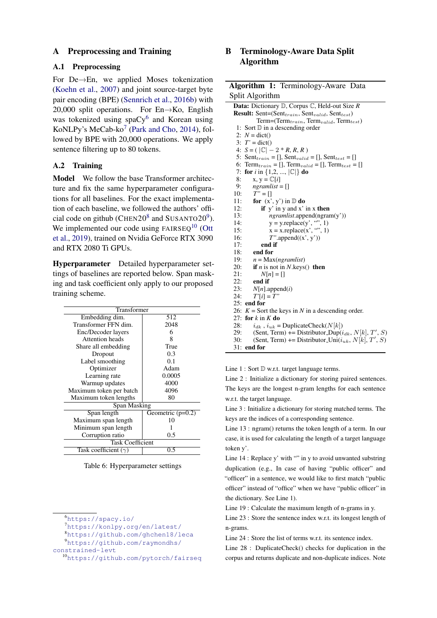### A Preprocessing and Training

#### <span id="page-8-0"></span>A.1 Preprocessing

For De→En, we applied Moses tokenization [\(Koehn et al.,](#page-5-16) [2007\)](#page-5-16) and joint source-target byte pair encoding (BPE) [\(Sennrich et al.,](#page-6-13) [2016b\)](#page-6-13) with 20,000 split operations. For  $En \rightarrow Ko$ , English was tokenized using  $spaCy^6$  $spaCy^6$  and Korean using KoNLPy's MeCab-ko<sup>[7](#page-0-2)</sup> [\(Park and Cho,](#page-6-14) [2014\)](#page-6-14), followed by BPE with 20,000 operations. We apply sentence filtering up to 80 tokens.

### A.2 Training

Model We follow the base Transformer architecture and fix the same hyperparameter configurations for all baselines. For the exact implementation of each baseline, we followed the authors' official code on github (CHEN20 $8$  and SUSANTO20 $9$ ). We implemented our code using  $FAIRSEQ<sup>10</sup>$  $FAIRSEQ<sup>10</sup>$  $FAIRSEQ<sup>10</sup>$  [\(Ott](#page-6-15) [et al.,](#page-6-15) [2019\)](#page-6-15), trained on Nvidia GeForce RTX 3090 and RTX 2080 Ti GPUs.

Hyperparameter Detailed hyperparameter settings of baselines are reported below. Span masking and task coefficient only apply to our proposed training scheme.

| Transformer                 |                     |  |  |  |  |
|-----------------------------|---------------------|--|--|--|--|
| Embedding dim.              | 512                 |  |  |  |  |
| Transformer FFN dim.        | 2048                |  |  |  |  |
| Enc/Decoder layers          | 6                   |  |  |  |  |
| Attention heads             | 8                   |  |  |  |  |
| Share all embedding         | True                |  |  |  |  |
| Dropout                     | 0.3                 |  |  |  |  |
| Label smoothing             | 0.1                 |  |  |  |  |
| Optimizer                   | Adam                |  |  |  |  |
| Learning rate               | 0.0005              |  |  |  |  |
| Warmup updates              | 4000                |  |  |  |  |
| Maximum token per batch     | 4096                |  |  |  |  |
| Maximum token lengths       | 80                  |  |  |  |  |
| Span Masking                |                     |  |  |  |  |
| Span length                 | Geometric $(p=0.2)$ |  |  |  |  |
| Maximum span length         | 10                  |  |  |  |  |
| Minimum span length         |                     |  |  |  |  |
| Corruption ratio            | 0.5                 |  |  |  |  |
| <b>Task Coefficient</b>     |                     |  |  |  |  |
| Task coefficient $(\gamma)$ | 0.5                 |  |  |  |  |

Table 6: Hyperparameter settings

```
7https://konlpy.org/en/latest/
```

```
8https://github.com/ghchen18/leca
```

```
9https://github.com/raymondhs/
constrained-levt
```

```
10https://github.com/pytorch/fairseq
```
# <span id="page-8-1"></span>B Terminology-Aware Data Split Algorithm

| Algorithm 1: Terminology-Aware Data                                                  |
|--------------------------------------------------------------------------------------|
| Split Algorithm                                                                      |
| <b>Data:</b> Dictionary $D$ , Corpus $C$ , Held-out Size $R$                         |
| Result: Sent=(Sent <sub>train</sub> , Sent <sub>valid</sub> , Sent <sub>test</sub> ) |
| Term=(Term $_{train}$ , Term $_{valid}$ , Term $_{test}$ )                           |
| 1: Sort $\mathbb D$ in a descending order                                            |
| 2: $N = \text{dict}()$                                                               |
| 3: $T' = \text{dict}()$                                                              |
| 4: $S = ( \mathbb{C}  - 2 * R, R, R)$                                                |
| 5: Sent <sub>train</sub> = [], Sent <sub>valid</sub> = [], Sent <sub>test</sub> = [] |
| 6: Term $_{train}$ = [], Term $_{valid}$ = [], Term $_{test}$ = []                   |
| <b>for</b> <i>i</i> in {1,2, , $ \mathbb{C} $ } <b>do</b><br>7:                      |
| 8:<br>$x, y = \mathbb{C}[i]$                                                         |
| 9:<br>$ngramlist = []$                                                               |
| $T'' = []$<br>10:                                                                    |
| 11:<br>for $(x', y')$ in $\mathbb D$ do                                              |
| 12:<br>if y' in y and x' in x then                                                   |
| 13:<br>ngramlist.append(ngram(y'))                                                   |
| $y = y$ .replace(y', "", 1)<br>14:                                                   |
| $x = x.\text{replace}(x', \cdots', 1)$<br>15:                                        |
| 16:<br>$T''$ .append $((x', y'))$                                                    |
| 17:<br>end if                                                                        |
| 18:<br>end for                                                                       |
| 19:<br>$n = Max(ngramlist)$                                                          |
| 20:<br><b>if</b> <i>n</i> is not in <i>N</i> .keys() <b>then</b>                     |
| 21:<br>$N[n] = \lceil$                                                               |
| 22:<br>end if                                                                        |
| 23:<br>$N[n]$ .append $(i)$                                                          |
| 24:<br>$T'[i] = T''$                                                                 |
| 25: end for                                                                          |
| 26: $K =$ Sort the keys in N in a descending order.                                  |
| 27: for $k$ in $K$ do                                                                |
| 28:<br>$i_{dk}$ , $i_{uk}$ = DuplicateCheck( $N[k]$ )                                |
| (Sent, Term) += Distributor_Dup( $i_{dk}$ , N[k], T', S)<br>29:                      |
| (Sent, Term) += Distributor_Uni( $i_{uk}$ , N[k], T', S)<br>30:                      |
| 31:<br>end for                                                                       |

Line 1 : Sort  $\mathbb D$  w.r.t. target language terms.

Line 2 : Initialize a dictionary for storing paired sentences. The keys are the longest n-gram lengths for each sentence w.r.t. the target language.

Line 3 : Initialize a dictionary for storing matched terms. The keys are the indices of a corresponding sentence.

Line 13 : ngram() returns the token length of a term. In our case, it is used for calculating the length of a target language token y'.

Line 14 : Replace y' with "" in y to avoid unwanted substring duplication (e.g., In case of having "public officer" and "officer" in a sentence, we would like to first match "public officer" instead of "office" when we have "public officer" in the dictionary. See Line 1).

Line 19 : Calculate the maximum length of n-grams in y.

Line 23 : Store the sentence index w.r.t. its longest length of n-grams.

Line 24 : Store the list of terms w.r.t. its sentence index.

Line 28 : DuplicateCheck() checks for duplication in the corpus and returns duplicate and non-duplicate indices. Note

<sup>6</sup><https://spacy.io/>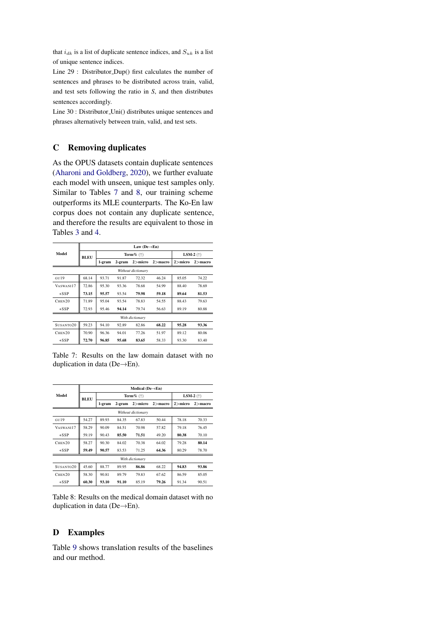that  $i_{dk}$  is a list of duplicate sentence indices, and  $S_{uk}$  is a list of unique sentence indices.

Line 29 : Distributor Dup() first calculates the number of sentences and phrases to be distributed across train, valid, and test sets following the ratio in *S*, and then distributes sentences accordingly.

Line 30 : Distributor Uni() distributes unique sentences and phrases alternatively between train, valid, and test sets.

## C Removing duplicates

As the OPUS datasets contain duplicate sentences [\(Aharoni and Goldberg,](#page-4-1) [2020\)](#page-4-1), we further evaluate each model with unseen, unique test samples only. Similar to Tables [7](#page-9-0) and [8,](#page-9-1) our training scheme outperforms its MLE counterparts. The Ko-En law corpus does not contain any duplicate sentence, and therefore the results are equivalent to those in Tables [3](#page-3-0) and [4.](#page-3-1)

<span id="page-9-0"></span>

|                    | Law (De $\rightarrow$ En) |        |               |                                            |            |            |             |  |  |  |
|--------------------|---------------------------|--------|---------------|--------------------------------------------|------------|------------|-------------|--|--|--|
| Model              | BLEU                      |        | Term $\%$ (†) | LSM-2 $($ <sup><math>\dagger)</math></sup> |            |            |             |  |  |  |
|                    |                           | 1-gram | 2-gram        | $2>$ micro                                 | $2$ >macro | $2$ >micro | $2 >$ macro |  |  |  |
|                    | Without dictionary        |        |               |                                            |            |            |             |  |  |  |
| GII19              | 68.14                     | 93.71  | 91.87         | 72.32                                      | 46.24      | 85.05      | 74.22       |  |  |  |
| VASWANI17          | 72.86                     | 95.30  | 93.36         | 78.68                                      | 54.99      | 88.40      | 78.69       |  |  |  |
| $+SSP$             | 73.15                     | 95.57  | 93.54         | 79.98                                      | 59.18      | 89.64      | 81.53       |  |  |  |
| CHEN <sub>20</sub> | 71.89                     | 95.04  | 93.54         | 78.83                                      | 54.55      | 88.43      | 79.63       |  |  |  |
| $+SSP$             | 72.93                     | 95.46  | 94.14         | 79.74                                      | 56.63      | 89.19      | 80.88       |  |  |  |
|                    | With dictionary           |        |               |                                            |            |            |             |  |  |  |
| SUSANTO20          | 59.23                     | 94.10  | 92.89         | 82.86                                      | 68.22      | 95.28      | 93.36       |  |  |  |
| CHEN <sub>20</sub> | 70.90                     | 96.36  | 94.01         | 77.26                                      | 51.97      | 89.12      | 80.06       |  |  |  |
| $+SSP$             | 72.70                     | 96.85  | 95.68         | 83.65                                      | 58.33      | 93.30      | 83.40       |  |  |  |

Table 7: Results on the law domain dataset with no duplication in data (De→En).

<span id="page-9-1"></span>

|                       | Medical ( $De \rightarrow En$ ) |        |                          |                                            |             |            |             |  |  |  |
|-----------------------|---------------------------------|--------|--------------------------|--------------------------------------------|-------------|------------|-------------|--|--|--|
| Model                 | <b>BLEU</b>                     |        | Term $\%$ ( $\uparrow$ ) | LSM-2 $($ <sup><math>\dagger)</math></sup> |             |            |             |  |  |  |
|                       |                                 | 1-gram | $2>$ micro<br>2-gram     |                                            | $2$ > macro | $2>$ micro | $2 >$ macro |  |  |  |
| Without dictionary    |                                 |        |                          |                                            |             |            |             |  |  |  |
| GII19                 | 54.27                           | 89.93  | 84.35                    | 67.83                                      | 50.44       | 78.18      | 70.33       |  |  |  |
| VASWANI17             | 58.29                           | 90.09  | 84.51                    | 70.98                                      | 57.82       | 79.18      | 76.45       |  |  |  |
| $+SSP$                | 59.19                           | 90.43  | 85.50                    | 71.51                                      | 49.20       | 80.38      | 70.10       |  |  |  |
| CHEN20                | 58.27                           | 90.30  | 84.02                    | 70.38                                      | 64.02       | 79.28      | 80.14       |  |  |  |
| $+SSP$                | 59.49                           | 90.57  | 83.53                    | 71.25                                      | 64.36       | 80.29      | 78.70       |  |  |  |
|                       |                                 |        |                          | With dictionary                            |             |            |             |  |  |  |
| SUSANTO <sub>20</sub> | 45.60                           | 88.77  | 89.95                    | 86.86                                      | 68.22       | 94.83      | 93.86       |  |  |  |
| CHEN20                | 58.30                           | 90.81  | 89.79                    | 79.83                                      | 67.62       | 86.59      | 85.05       |  |  |  |
| $+SSP$                | 60.30                           | 93.10  | 91.10                    | 85.19                                      | 79.26       | 91.34      | 90.51       |  |  |  |

Table 8: Results on the medical domain dataset with no duplication in data (De→En).

## D Examples

Table [9](#page-10-0) shows translation results of the baselines and our method.